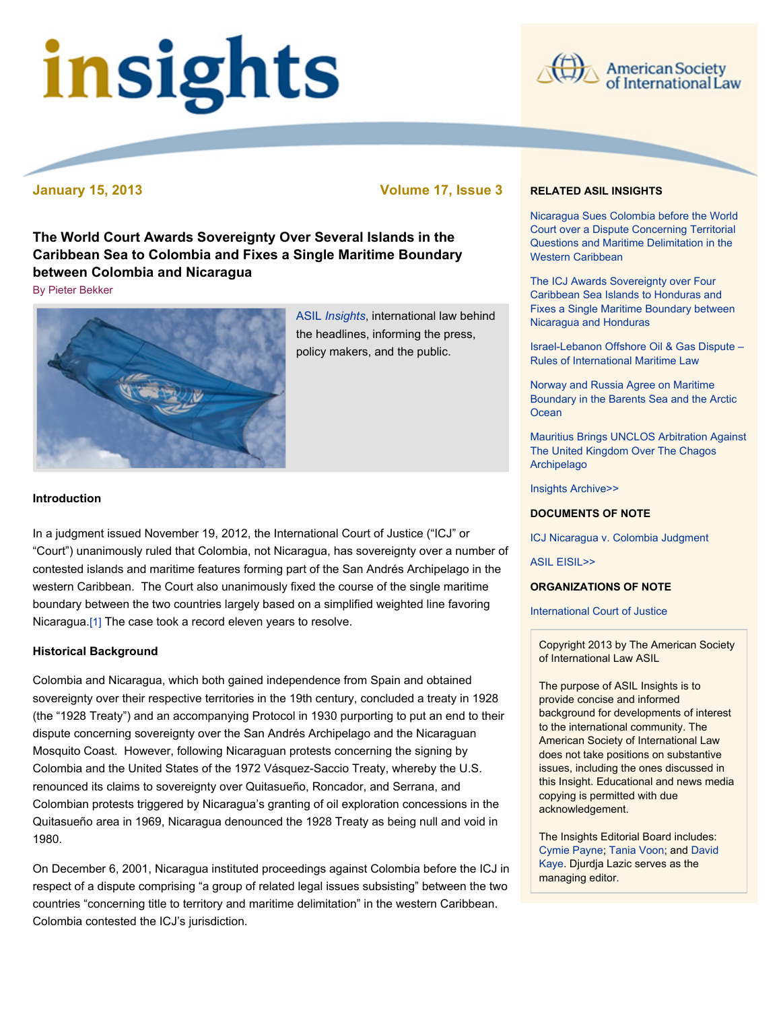# insights



**January 15, 2013 Volume 17, Issue 3**

**The World Court Awards Sovereignty Over Several Islands in the Caribbean Sea to Colombia and Fixes a Single Maritime Boundary between Colombia and Nicaragua**

[By Pieter Bekker](file:///Users/jamessteiner/ASIL/ASIL%202011/www/_Design%20Templates/insights/insight130115.html#author)



ASIL *[Insights](http://www.asil.org/insights.cfm)*, international law behind the headlines, informing the press, policy makers, and the public.

# **Introduction**

In a judgment issued November 19, 2012, the International Court of Justice ("ICJ" or "Court") unanimously ruled that Colombia, not Nicaragua, has sovereignty over a number of contested islands and maritime features forming part of the San Andrés Archipelago in the western Caribbean. The Court also unanimously fixed the course of the single maritime boundary between the two countries largely based on a simplified weighted line favoring Nicaragua[.\[1\]](file:///Users/jamessteiner/ASIL/ASIL%202011/www/_Design%20Templates/insights/insight130115.html#_edn1) The case took a record eleven years to resolve.

### **Historical Background**

Colombia and Nicaragua, which both gained independence from Spain and obtained sovereignty over their respective territories in the 19th century, concluded a treaty in 1928 (the "1928 Treaty") and an accompanying Protocol in 1930 purporting to put an end to their dispute concerning sovereignty over the San Andrés Archipelago and the Nicaraguan Mosquito Coast. However, following Nicaraguan protests concerning the signing by Colombia and the United States of the 1972 Vásquez-Saccio Treaty, whereby the U.S. renounced its claims to sovereignty over Quitasueño, Roncador, and Serrana, and Colombian protests triggered by Nicaragua's granting of oil exploration concessions in the Quitasueño area in 1969, Nicaragua denounced the 1928 Treaty as being null and void in 1980.

On December 6, 2001, Nicaragua instituted proceedings against Colombia before the ICJ in respect of a dispute comprising "a group of related legal issues subsisting" between the two countries "concerning title to territory and maritime delimitation" in the western Caribbean. Colombia contested the ICJ's jurisdiction.

### **RELATED ASIL INSIGHTS**

[Nicaragua Sues Colombia before the World](http://www.asil.org/insigh79.cfm) Court over a Dispute Concerning Territorial Questions and Maritime Delimitation in the Western Caribbean

The ICJ Awards Sovereignty over Four Caribbean Sea Islands to Honduras and [Fixes a Single Maritime Boundary between](http://www.asil.org/insights071017.cfm) Nicaragua and Honduras

[Israel-Lebanon Offshore Oil & Gas Dispute –](http://www.asil.org/insights111205.cfm) Rules of International Maritime Law

Norway and Russia Agree on Maritime [Boundary in the Barents Sea and the Arctic](http://www.asil.org/insights101108.cfm) **Ocean** 

[Mauritius Brings UNCLOS Arbitration Against](http://www.asil.org/insights110405.cfm) The United Kingdom Over The Chagos Archipelago

[Insights Archive>>](http://www.asil.org/insights.cfm)

## **DOCUMENTS OF NOTE**

[ICJ Nicaragua v. Colombia Judgment](http://www.icj-cij.org/docket/files/124/17164.pdf)

[ASIL EISIL>>](http://www.eisil.org/index.php?sid=297648529&t=index)

### **ORGANIZATIONS OF NOTE**

### [International Court of Justice](http://www.icj-cij.org/homepage/)

Copyright 2013 by The American Society of International Law ASIL

The purpose of ASIL Insights is to provide concise and informed background for developments of interest to the international community. The American Society of International Law does not take positions on substantive issues, including the ones discussed in this Insight. Educational and news media copying is permitted with due acknowledgement.

The Insights Editorial Board includes: [Cymie Payne](http://www.cymiepayne.org/)[;](mailto:dkaye@law.uci.edu) [Tania Voon](http://www.law.unimelb.edu.au/melbourne-law-school/community/our-staff/staff-profile/username/tania%20voon)[; and David](mailto:dkaye@law.uci.edu) Kaye. Djurdja Lazic serves as the managing editor.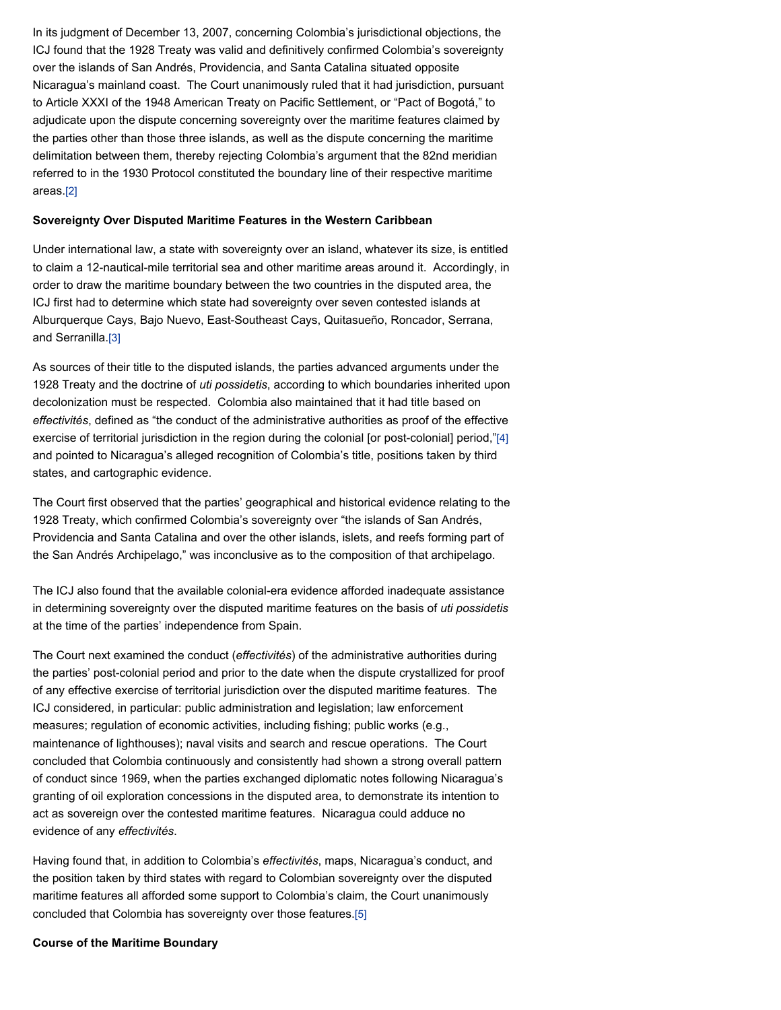In its judgment of December 13, 2007, concerning Colombia's jurisdictional objections, the ICJ found that the 1928 Treaty was valid and definitively confirmed Colombia's sovereignty over the islands of San Andrés, Providencia, and Santa Catalina situated opposite Nicaragua's mainland coast. The Court unanimously ruled that it had jurisdiction, pursuant to Article XXXI of the 1948 American Treaty on Pacific Settlement, or "Pact of Bogotá," to adjudicate upon the dispute concerning sovereignty over the maritime features claimed by the parties other than those three islands, as well as the dispute concerning the maritime delimitation between them, thereby rejecting Colombia's argument that the 82nd meridian referred to in the 1930 Protocol constituted the boundary line of their respective maritime areas[.\[2\]](file:///Users/jamessteiner/ASIL/ASIL%202011/www/_Design%20Templates/insights/insight130115.html#_edn2)

### **Sovereignty Over Disputed Maritime Features in the Western Caribbean**

Under international law, a state with sovereignty over an island, whatever its size, is entitled to claim a 12-nautical-mile territorial sea and other maritime areas around it. Accordingly, in order to draw the maritime boundary between the two countries in the disputed area, the ICJ first had to determine which state had sovereignty over seven contested islands at Alburquerque Cays, Bajo Nuevo, East-Southeast Cays, Quitasueño, Roncador, Serrana, and Serranilla[.\[3\]](file:///Users/jamessteiner/ASIL/ASIL%202011/www/_Design%20Templates/insights/insight130115.html#_edn3)

As sources of their title to the disputed islands, the parties advanced arguments under the 1928 Treaty and the doctrine of *uti possidetis*, according to which boundaries inherited upon decolonization must be respected. Colombia also maintained that it had title based on *effectivités*, defined as "the conduct of the administrative authorities as proof of the effective exercise of territorial jurisdiction in the region during the colonial [or post-colonial] period.["\[4\]](file:///Users/jamessteiner/ASIL/ASIL%202011/www/_Design%20Templates/insights/insight130115.html#_edn4) and pointed to Nicaragua's alleged recognition of Colombia's title, positions taken by third states, and cartographic evidence.

The Court first observed that the parties' geographical and historical evidence relating to the 1928 Treaty, which confirmed Colombia's sovereignty over "the islands of San Andrés, Providencia and Santa Catalina and over the other islands, islets, and reefs forming part of the San Andrés Archipelago," was inconclusive as to the composition of that archipelago.

The ICJ also found that the available colonial-era evidence afforded inadequate assistance in determining sovereignty over the disputed maritime features on the basis of *uti possidetis* at the time of the parties' independence from Spain.

The Court next examined the conduct (*effectivités*) of the administrative authorities during the parties' post-colonial period and prior to the date when the dispute crystallized for proof of any effective exercise of territorial jurisdiction over the disputed maritime features. The ICJ considered, in particular: public administration and legislation; law enforcement measures; regulation of economic activities, including fishing; public works (e.g., maintenance of lighthouses); naval visits and search and rescue operations. The Court concluded that Colombia continuously and consistently had shown a strong overall pattern of conduct since 1969, when the parties exchanged diplomatic notes following Nicaragua's granting of oil exploration concessions in the disputed area, to demonstrate its intention to act as sovereign over the contested maritime features. Nicaragua could adduce no evidence of any *effectivités*.

Having found that, in addition to Colombia's *effectivités*, maps, Nicaragua's conduct, and the position taken by third states with regard to Colombian sovereignty over the disputed maritime features all afforded some support to Colombia's claim, the Court unanimously concluded that Colombia has sovereignty over those features[.\[5\]](file:///Users/jamessteiner/ASIL/ASIL%202011/www/_Design%20Templates/insights/insight130115.html#_edn5)

### **Course of the Maritime Boundary**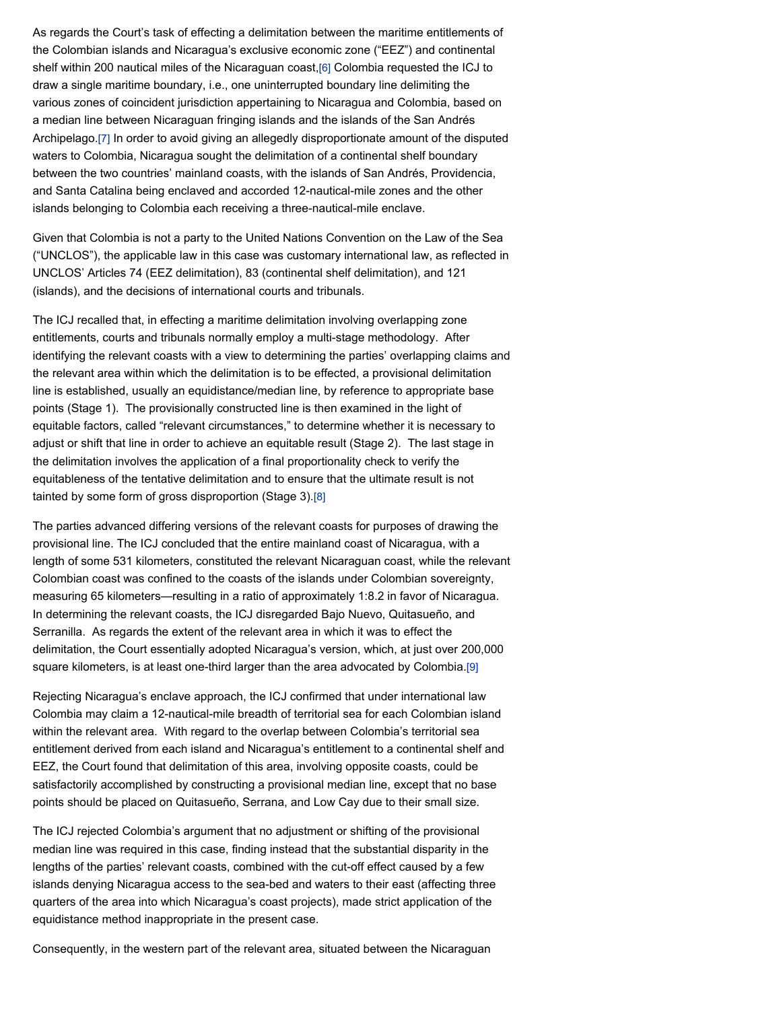As regards the Court's task of effecting a delimitation between the maritime entitlements of the Colombian islands and Nicaragua's exclusive economic zone ("EEZ") and continental shelf within 200 nautical miles of the Nicaraguan coast[,\[6\]](file:///Users/jamessteiner/ASIL/ASIL%202011/www/_Design%20Templates/insights/insight130115.html#_edn6) Colombia requested the ICJ to draw a single maritime boundary, i.e., one uninterrupted boundary line delimiting the various zones of coincident jurisdiction appertaining to Nicaragua and Colombia, based on a median line between Nicaraguan fringing islands and the islands of the San Andrés Archipelago[.\[7\]](file:///Users/jamessteiner/ASIL/ASIL%202011/www/_Design%20Templates/insights/insight130115.html#_edn7) In order to avoid giving an allegedly disproportionate amount of the disputed waters to Colombia, Nicaragua sought the delimitation of a continental shelf boundary between the two countries' mainland coasts, with the islands of San Andrés, Providencia, and Santa Catalina being enclaved and accorded 12-nautical-mile zones and the other islands belonging to Colombia each receiving a three-nautical-mile enclave.

Given that Colombia is not a party to the United Nations Convention on the Law of the Sea ("UNCLOS"), the applicable law in this case was customary international law, as reflected in UNCLOS' Articles 74 (EEZ delimitation), 83 (continental shelf delimitation), and 121 (islands), and the decisions of international courts and tribunals.

The ICJ recalled that, in effecting a maritime delimitation involving overlapping zone entitlements, courts and tribunals normally employ a multi-stage methodology. After identifying the relevant coasts with a view to determining the parties' overlapping claims and the relevant area within which the delimitation is to be effected, a provisional delimitation line is established, usually an equidistance/median line, by reference to appropriate base points (Stage 1). The provisionally constructed line is then examined in the light of equitable factors, called "relevant circumstances," to determine whether it is necessary to adjust or shift that line in order to achieve an equitable result (Stage 2). The last stage in the delimitation involves the application of a final proportionality check to verify the equitableness of the tentative delimitation and to ensure that the ultimate result is not tainted by some form of gross disproportion (Stage 3)[.\[8\]](file:///Users/jamessteiner/ASIL/ASIL%202011/www/_Design%20Templates/insights/insight130115.html#_edn8)

The parties advanced differing versions of the relevant coasts for purposes of drawing the provisional line. The ICJ concluded that the entire mainland coast of Nicaragua, with a length of some 531 kilometers, constituted the relevant Nicaraguan coast, while the relevant Colombian coast was confined to the coasts of the islands under Colombian sovereignty, measuring 65 kilometers—resulting in a ratio of approximately 1:8.2 in favor of Nicaragua. In determining the relevant coasts, the ICJ disregarded Bajo Nuevo, Quitasueño, and Serranilla. As regards the extent of the relevant area in which it was to effect the delimitation, the Court essentially adopted Nicaragua's version, which, at just over 200,000 square kilometers, is at least one-third larger than the area advocated by Colombia[.\[9\]](file:///Users/jamessteiner/ASIL/ASIL%202011/www/_Design%20Templates/insights/insight130115.html#_edn9)

Rejecting Nicaragua's enclave approach, the ICJ confirmed that under international law Colombia may claim a 12-nautical-mile breadth of territorial sea for each Colombian island within the relevant area. With regard to the overlap between Colombia's territorial sea entitlement derived from each island and Nicaragua's entitlement to a continental shelf and EEZ, the Court found that delimitation of this area, involving opposite coasts, could be satisfactorily accomplished by constructing a provisional median line, except that no base points should be placed on Quitasueño, Serrana, and Low Cay due to their small size.

The ICJ rejected Colombia's argument that no adjustment or shifting of the provisional median line was required in this case, finding instead that the substantial disparity in the lengths of the parties' relevant coasts, combined with the cut-off effect caused by a few islands denying Nicaragua access to the sea-bed and waters to their east (affecting three quarters of the area into which Nicaragua's coast projects), made strict application of the equidistance method inappropriate in the present case.

Consequently, in the western part of the relevant area, situated between the Nicaraguan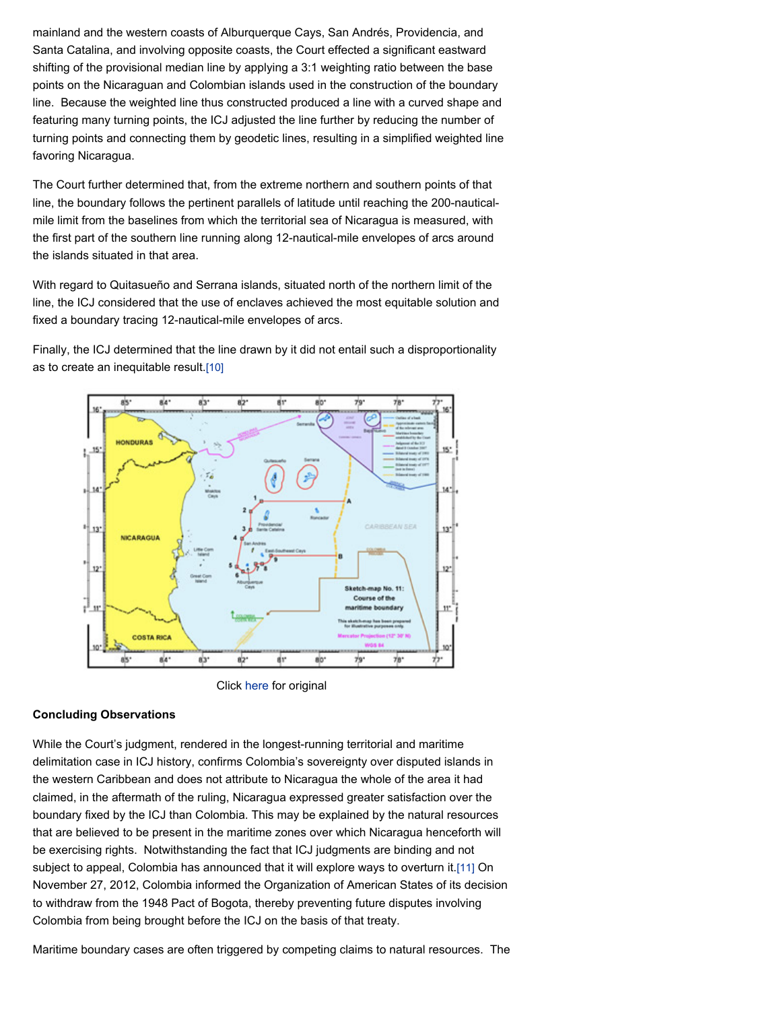mainland and the western coasts of Alburquerque Cays, San Andrés, Providencia, and Santa Catalina, and involving opposite coasts, the Court effected a significant eastward shifting of the provisional median line by applying a 3:1 weighting ratio between the base points on the Nicaraguan and Colombian islands used in the construction of the boundary line. Because the weighted line thus constructed produced a line with a curved shape and featuring many turning points, the ICJ adjusted the line further by reducing the number of turning points and connecting them by geodetic lines, resulting in a simplified weighted line favoring Nicaragua.

The Court further determined that, from the extreme northern and southern points of that line, the boundary follows the pertinent parallels of latitude until reaching the 200-nauticalmile limit from the baselines from which the territorial sea of Nicaragua is measured, with the first part of the southern line running along 12-nautical-mile envelopes of arcs around the islands situated in that area.

With regard to Quitasueño and Serrana islands, situated north of the northern limit of the line, the ICJ considered that the use of enclaves achieved the most equitable solution and fixed a boundary tracing 12-nautical-mile envelopes of arcs.

Finally, the ICJ determined that the line drawn by it did not entail such a disproportionality as to create an inequitable result[.\[10\]](file:///Users/jamessteiner/ASIL/ASIL%202011/www/_Design%20Templates/insights/insight130115.html#_edn10)



Click [here](http://www.icj-cij.org/docket/files/124/17164.pdf) for original

### **Concluding Observations**

While the Court's judgment, rendered in the longest-running territorial and maritime delimitation case in ICJ history, confirms Colombia's sovereignty over disputed islands in the western Caribbean and does not attribute to Nicaragua the whole of the area it had claimed, in the aftermath of the ruling, Nicaragua expressed greater satisfaction over the boundary fixed by the ICJ than Colombia. This may be explained by the natural resources that are believed to be present in the maritime zones over which Nicaragua henceforth will be exercising rights. Notwithstanding the fact that ICJ judgments are binding and not subject to appeal, Colombia has announced that it will explore ways to overturn it[.\[11\]](file:///Users/jamessteiner/ASIL/ASIL%202011/www/_Design%20Templates/insights/insight130115.html#_edn11) On November 27, 2012, Colombia informed the Organization of American States of its decision to withdraw from the 1948 Pact of Bogota, thereby preventing future disputes involving Colombia from being brought before the ICJ on the basis of that treaty.

Maritime boundary cases are often triggered by competing claims to natural resources. The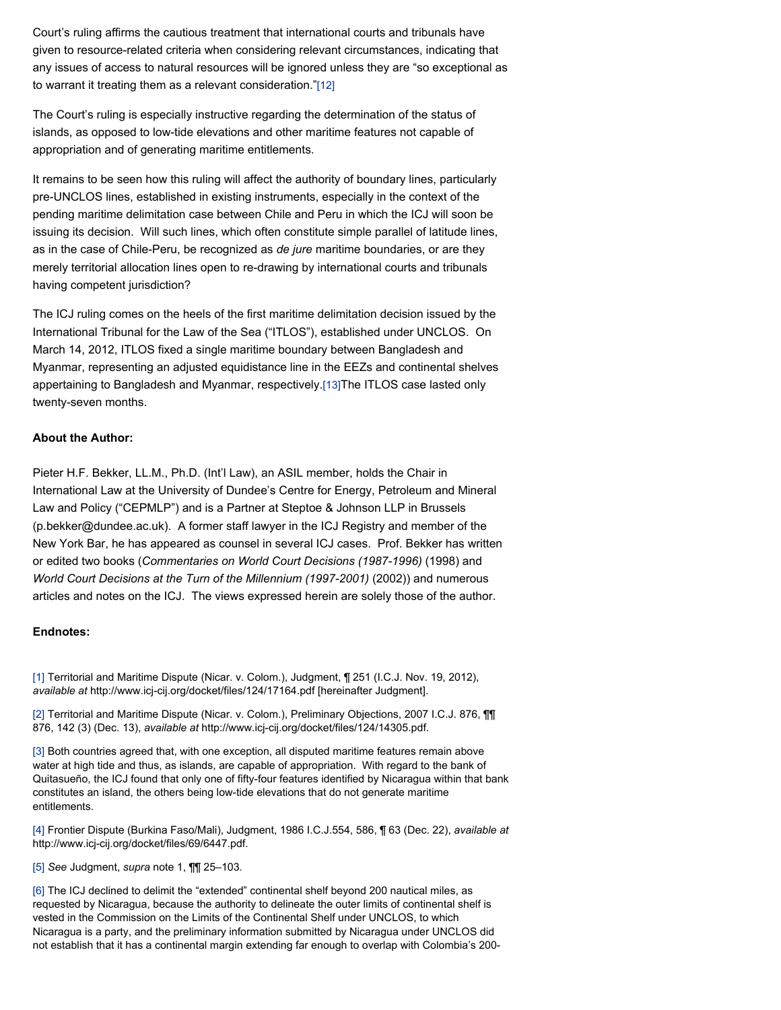Court's ruling affirms the cautious treatment that international courts and tribunals have given to resource-related criteria when considering relevant circumstances, indicating that any issues of access to natural resources will be ignored unless they are "so exceptional as to warrant it treating them as a relevant consideration.["\[12\]](file:///Users/jamessteiner/ASIL/ASIL%202011/www/_Design%20Templates/insights/insight130115.html#_edn12)

The Court's ruling is especially instructive regarding the determination of the status of islands, as opposed to low-tide elevations and other maritime features not capable of appropriation and of generating maritime entitlements.

It remains to be seen how this ruling will affect the authority of boundary lines, particularly pre-UNCLOS lines, established in existing instruments, especially in the context of the pending maritime delimitation case between Chile and Peru in which the ICJ will soon be issuing its decision. Will such lines, which often constitute simple parallel of latitude lines, as in the case of Chile-Peru, be recognized as *de jure* maritime boundaries, or are they merely territorial allocation lines open to re-drawing by international courts and tribunals having competent jurisdiction?

The ICJ ruling comes on the heels of the first maritime delimitation decision issued by the International Tribunal for the Law of the Sea ("ITLOS"), established under UNCLOS. On March 14, 2012, ITLOS fixed a single maritime boundary between Bangladesh and Myanmar, representing an adjusted equidistance line in the EEZs and continental shelves appertaining to Bangladesh and Myanmar, respectively[.\[13\]T](file:///Users/jamessteiner/ASIL/ASIL%202011/www/_Design%20Templates/insights/insight130115.html#_edn13)he ITLOS case lasted only twenty-seven months.

### **About the Author:**

Pieter H.F. Bekker, LL.M., Ph.D. (Int'l Law), an ASIL member, holds the Chair in International Law at the University of Dundee's Centre for Energy, Petroleum and Mineral Law and Policy ("CEPMLP") and is a Partner at Steptoe & Johnson LLP in Brussels (p.bekker@dundee.ac.uk). A former staff lawyer in the ICJ Registry and member of the New York Bar, he has appeared as counsel in several ICJ cases. Prof. Bekker has written or edited two books (*Commentaries on World Court Decisions (1987-1996)* (1998) and *World Court Decisions at the Turn of the Millennium (1997-2001)* (2002)) and numerous articles and notes on the ICJ. The views expressed herein are solely those of the author.

### **Endnotes:**

[\[1\]](file:///Users/jamessteiner/ASIL/ASIL%202011/www/_Design%20Templates/insights/insight130115.html#_ednref1) Territorial and Maritime Dispute (Nicar. v. Colom.), Judgment, ¶ 251 (I.C.J. Nov. 19, 2012), *available at* http://www.icj-cij.org/docket/files/124/17164.pdf [hereinafter Judgment].

[\[2\]](file:///Users/jamessteiner/ASIL/ASIL%202011/www/_Design%20Templates/insights/insight130115.html#_ednref2) Territorial and Maritime Dispute (Nicar. v. Colom.), Preliminary Objections, 2007 I.C.J. 876, 11 876, 142 (3) (Dec. 13), *available at* http://www.icj-cij.org/docket/files/124/14305.pdf.

[\[3\]](file:///Users/jamessteiner/ASIL/ASIL%202011/www/_Design%20Templates/insights/insight130115.html#_ednref3) Both countries agreed that, with one exception, all disputed maritime features remain above water at high tide and thus, as islands, are capable of appropriation. With regard to the bank of Quitasueño, the ICJ found that only one of fifty-four features identified by Nicaragua within that bank constitutes an island, the others being low-tide elevations that do not generate maritime entitlements.

[\[4\]](file:///Users/jamessteiner/ASIL/ASIL%202011/www/_Design%20Templates/insights/insight130115.html#_ednref4) Frontier Dispute (Burkina Faso/Mali), Judgment, 1986 I.C.J.554, 586, ¶ 63 (Dec. 22), *available at* http://www.icj-cij.org/docket/files/69/6447.pdf.

[\[5\]](file:///Users/jamessteiner/ASIL/ASIL%202011/www/_Design%20Templates/insights/insight130115.html#_ednref5) *See* Judgment, *supra* note 1, ¶¶ 25–103.

[\[6\]](file:///Users/jamessteiner/ASIL/ASIL%202011/www/_Design%20Templates/insights/insight130115.html#_ednref6) The ICJ declined to delimit the "extended" continental shelf beyond 200 nautical miles, as requested by Nicaragua, because the authority to delineate the outer limits of continental shelf is vested in the Commission on the Limits of the Continental Shelf under UNCLOS, to which Nicaragua is a party, and the preliminary information submitted by Nicaragua under UNCLOS did not establish that it has a continental margin extending far enough to overlap with Colombia's 200